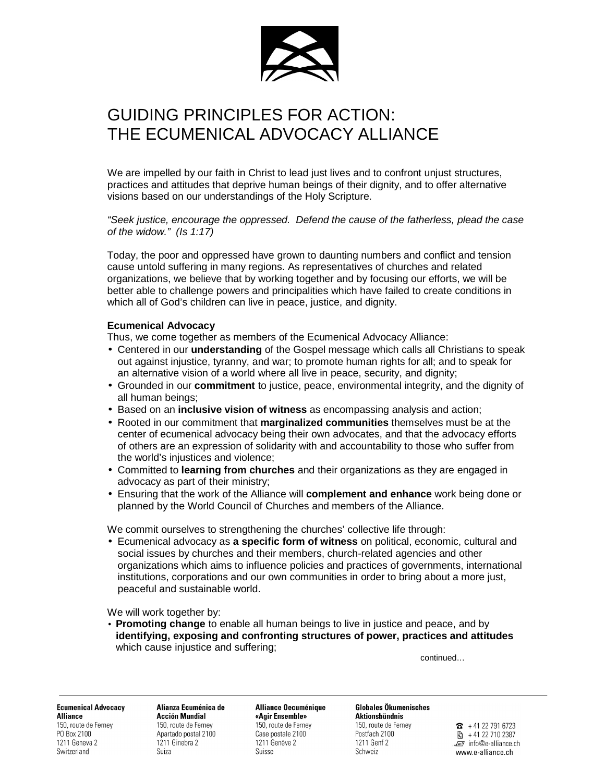

## GUIDING PRINCIPLES FOR ACTION: THE ECUMENICAL ADVOCACY ALLIANCE

We are impelled by our faith in Christ to lead just lives and to confront unjust structures, practices and attitudes that deprive human beings of their dignity, and to offer alternative visions based on our understandings of the Holy Scripture.

"Seek justice, encourage the oppressed. Defend the cause of the fatherless, plead the case of the widow." (Is 1:17)

Today, the poor and oppressed have grown to daunting numbers and conflict and tension cause untold suffering in many regions. As representatives of churches and related organizations, we believe that by working together and by focusing our efforts, we will be better able to challenge powers and principalities which have failed to create conditions in which all of God's children can live in peace, justice, and dignity.

## **Ecumenical Advocacy**

Thus, we come together as members of the Ecumenical Advocacy Alliance:

- Centered in our **understanding** of the Gospel message which calls all Christians to speak out against injustice, tyranny, and war; to promote human rights for all; and to speak for an alternative vision of a world where all live in peace, security, and dignity;
- Grounded in our **commitment** to justice, peace, environmental integrity, and the dignity of all human beings;
- Based on an **inclusive vision of witness** as encompassing analysis and action;
- Rooted in our commitment that **marginalized communities** themselves must be at the center of ecumenical advocacy being their own advocates, and that the advocacy efforts of others are an expression of solidarity with and accountability to those who suffer from the world's injustices and violence;
- Committed to **learning from churches** and their organizations as they are engaged in advocacy as part of their ministry;
- Ensuring that the work of the Alliance will **complement and enhance** work being done or planned by the World Council of Churches and members of the Alliance.

We commit ourselves to strengthening the churches' collective life through:

• Ecumenical advocacy as **a specific form of witness** on political, economic, cultural and social issues by churches and their members, church-related agencies and other organizations which aims to influence policies and practices of governments, international institutions, corporations and our own communities in order to bring about a more just, peaceful and sustainable world.

We will work together by:

• **Promoting change** to enable all human beings to live in justice and peace, and by **identifying, exposing and confronting structures of power, practices and attitudes** which cause injustice and suffering;

continued…

**Ecumenical Advocacy Alliance** 150, route de Fernev PO Box 2100 1211 Geneva 2

Switzerland

Alianza Ecuménica de **Acción Mundial** 150, route de Fernev Anartado nostal 2100 1211 Ginebra 2 Suiza

## Alliance Oecuménique

«Agir Ensemble» 150, route de Ferney Case postale 2100 1211 Genève 2 Suisse

**Globales Ökumenisches Aktionshündnis** 150, route de Fernev Postfach 2100

1211 Genf 2

Schweiz

 $\mathbf{R}$  + 41 22 791 6723  $\frac{1}{2}$  + 41 22 710 2387 .. info@e-alliance.ch www.e-alliance.ch